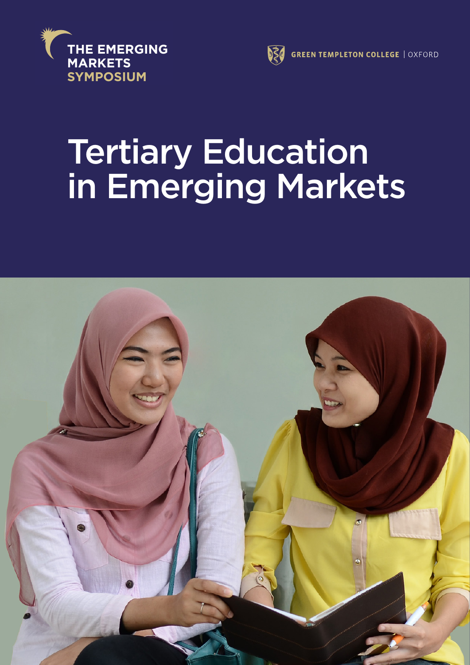



# Tertiary Education in Emerging Markets **The Emerging Markets Symposium**

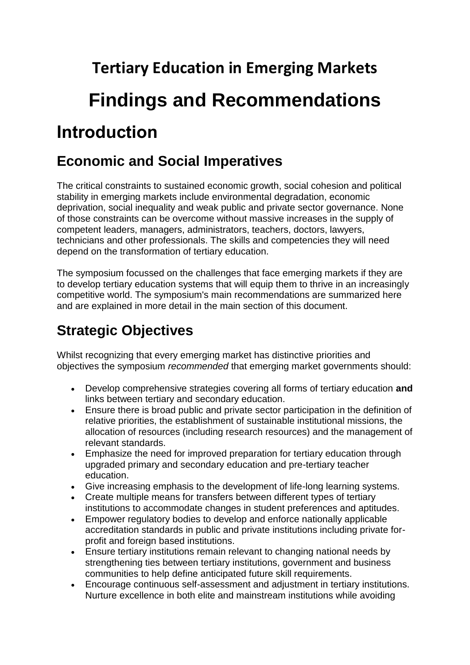**Tertiary Education in Emerging Markets Findings and Recommendations Introduction**

## **Economic and Social Imperatives**

The critical constraints to sustained economic growth, social cohesion and political stability in emerging markets include environmental degradation, economic deprivation, social inequality and weak public and private sector governance. None of those constraints can be overcome without massive increases in the supply of competent leaders, managers, administrators, teachers, doctors, lawyers, technicians and other professionals. The skills and competencies they will need depend on the transformation of tertiary education.

The symposium focussed on the challenges that face emerging markets if they are to develop tertiary education systems that will equip them to thrive in an increasingly competitive world. The symposium's main recommendations are summarized here and are explained in more detail in the main section of this document.

# **Strategic Objectives**

Whilst recognizing that every emerging market has distinctive priorities and objectives the symposium *recommended* that emerging market governments should:

- Develop comprehensive strategies covering all forms of tertiary education **and** links between tertiary and secondary education.
- Ensure there is broad public and private sector participation in the definition of relative priorities, the establishment of sustainable institutional missions, the allocation of resources (including research resources) and the management of relevant standards.
- Emphasize the need for improved preparation for tertiary education through upgraded primary and secondary education and pre-tertiary teacher education.
- Give increasing emphasis to the development of life-long learning systems.
- Create multiple means for transfers between different types of tertiary institutions to accommodate changes in student preferences and aptitudes.
- Empower regulatory bodies to develop and enforce nationally applicable accreditation standards in public and private institutions including private forprofit and foreign based institutions.
- Ensure tertiary institutions remain relevant to changing national needs by strengthening ties between tertiary institutions, government and business communities to help define anticipated future skill requirements.
- Encourage continuous self-assessment and adjustment in tertiary institutions. Nurture excellence in both elite and mainstream institutions while avoiding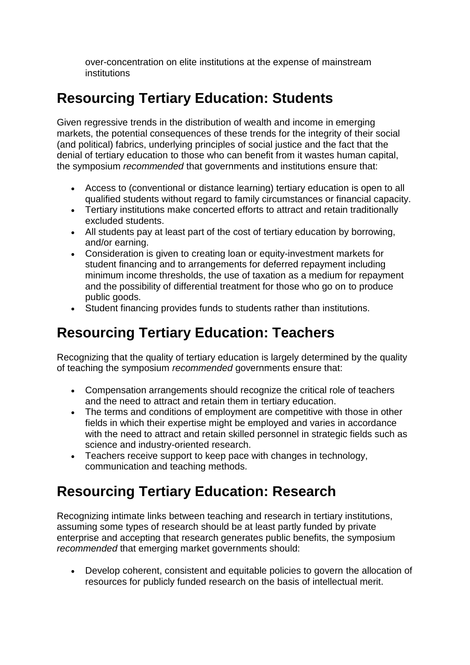over-concentration on elite institutions at the expense of mainstream institutions

## **Resourcing Tertiary Education: Students**

Given regressive trends in the distribution of wealth and income in emerging markets, the potential consequences of these trends for the integrity of their social (and political) fabrics, underlying principles of social justice and the fact that the denial of tertiary education to those who can benefit from it wastes human capital, the symposium *recommended* that governments and institutions ensure that:

- Access to (conventional or distance learning) tertiary education is open to all qualified students without regard to family circumstances or financial capacity.
- Tertiary institutions make concerted efforts to attract and retain traditionally excluded students.
- All students pay at least part of the cost of tertiary education by borrowing, and/or earning.
- Consideration is given to creating loan or equity-investment markets for student financing and to arrangements for deferred repayment including minimum income thresholds, the use of taxation as a medium for repayment and the possibility of differential treatment for those who go on to produce public goods.
- Student financing provides funds to students rather than institutions.

### **Resourcing Tertiary Education: Teachers**

Recognizing that the quality of tertiary education is largely determined by the quality of teaching the symposium *recommended* governments ensure that:

- Compensation arrangements should recognize the critical role of teachers and the need to attract and retain them in tertiary education.
- The terms and conditions of employment are competitive with those in other fields in which their expertise might be employed and varies in accordance with the need to attract and retain skilled personnel in strategic fields such as science and industry-oriented research.
- Teachers receive support to keep pace with changes in technology, communication and teaching methods.

### **Resourcing Tertiary Education: Research**

Recognizing intimate links between teaching and research in tertiary institutions, assuming some types of research should be at least partly funded by private enterprise and accepting that research generates public benefits, the symposium *recommended* that emerging market governments should:

 Develop coherent, consistent and equitable policies to govern the allocation of resources for publicly funded research on the basis of intellectual merit.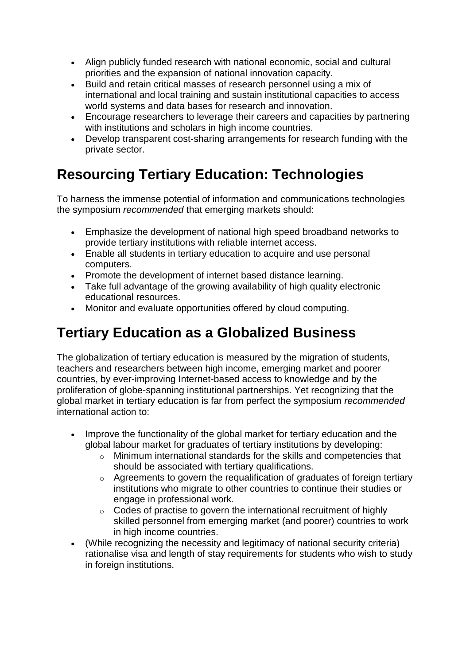- Align publicly funded research with national economic, social and cultural priorities and the expansion of national innovation capacity.
- Build and retain critical masses of research personnel using a mix of international and local training and sustain institutional capacities to access world systems and data bases for research and innovation.
- Encourage researchers to leverage their careers and capacities by partnering with institutions and scholars in high income countries.
- Develop transparent cost-sharing arrangements for research funding with the private sector.

# **Resourcing Tertiary Education: Technologies**

To harness the immense potential of information and communications technologies the symposium *recommended* that emerging markets should:

- Emphasize the development of national high speed broadband networks to provide tertiary institutions with reliable internet access.
- Enable all students in tertiary education to acquire and use personal computers.
- Promote the development of internet based distance learning.
- Take full advantage of the growing availability of high quality electronic educational resources.
- Monitor and evaluate opportunities offered by cloud computing.

# **Tertiary Education as a Globalized Business**

The globalization of tertiary education is measured by the migration of students, teachers and researchers between high income, emerging market and poorer countries, by ever-improving Internet-based access to knowledge and by the proliferation of globe-spanning institutional partnerships. Yet recognizing that the global market in tertiary education is far from perfect the symposium *recommended* international action to:

- Improve the functionality of the global market for tertiary education and the global labour market for graduates of tertiary institutions by developing:
	- o Minimum international standards for the skills and competencies that should be associated with tertiary qualifications.
	- o Agreements to govern the requalification of graduates of foreign tertiary institutions who migrate to other countries to continue their studies or engage in professional work.
	- $\circ$  Codes of practise to govern the international recruitment of highly skilled personnel from emerging market (and poorer) countries to work in high income countries.
- (While recognizing the necessity and legitimacy of national security criteria) rationalise visa and length of stay requirements for students who wish to study in foreign institutions.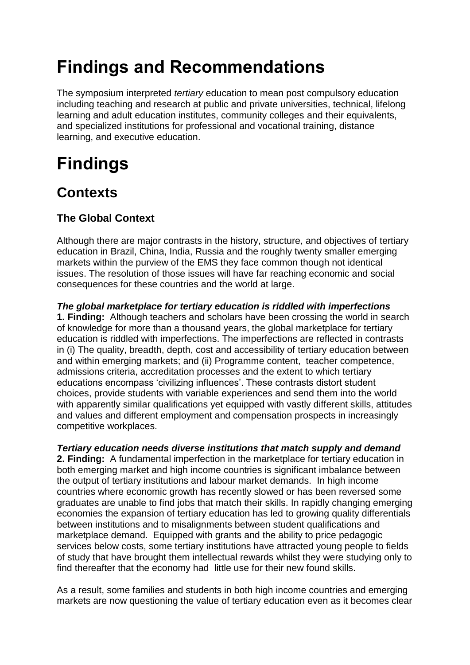# **Findings and Recommendations**

The symposium interpreted *tertiary* education to mean post compulsory education including teaching and research at public and private universities, technical, lifelong learning and adult education institutes, community colleges and their equivalents, and specialized institutions for professional and vocational training, distance learning, and executive education.

# **Findings**

### **Contexts**

### **The Global Context**

Although there are major contrasts in the history, structure, and objectives of tertiary education in Brazil, China, India, Russia and the roughly twenty smaller emerging markets within the purview of the EMS they face common though not identical issues. The resolution of those issues will have far reaching economic and social consequences for these countries and the world at large.

*The global marketplace for tertiary education is riddled with imperfections* **1. Finding:** Although teachers and scholars have been crossing the world in search of knowledge for more than a thousand years, the global marketplace for tertiary education is riddled with imperfections. The imperfections are reflected in contrasts in (i) The quality, breadth, depth, cost and accessibility of tertiary education between and within emerging markets; and (ii) Programme content, teacher competence, admissions criteria, accreditation processes and the extent to which tertiary educations encompass 'civilizing influences'. These contrasts distort student choices, provide students with variable experiences and send them into the world with apparently similar qualifications yet equipped with vastly different skills, attitudes and values and different employment and compensation prospects in increasingly competitive workplaces.

*Tertiary education needs diverse institutions that match supply and demand* **2. Finding:** A fundamental imperfection in the marketplace for tertiary education in both emerging market and high income countries is significant imbalance between the output of tertiary institutions and labour market demands. In high income countries where economic growth has recently slowed or has been reversed some graduates are unable to find jobs that match their skills. In rapidly changing emerging economies the expansion of tertiary education has led to growing quality differentials between institutions and to misalignments between student qualifications and marketplace demand. Equipped with grants and the ability to price pedagogic services below costs, some tertiary institutions have attracted young people to fields of study that have brought them intellectual rewards whilst they were studying only to find thereafter that the economy had little use for their new found skills.

As a result, some families and students in both high income countries and emerging markets are now questioning the value of tertiary education even as it becomes clear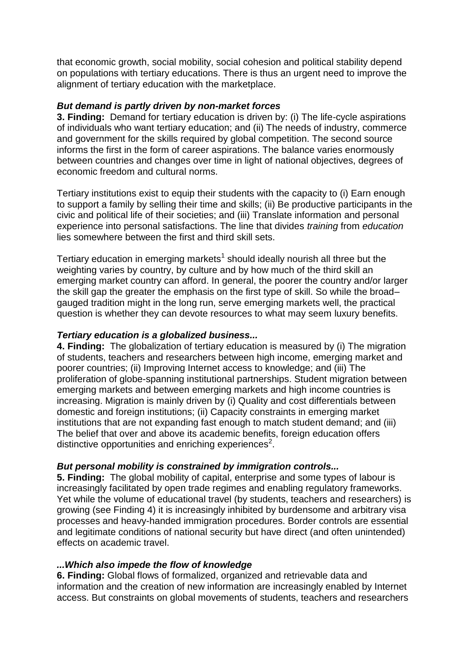that economic growth, social mobility, social cohesion and political stability depend on populations with tertiary educations. There is thus an urgent need to improve the alignment of tertiary education with the marketplace.

#### *But demand is partly driven by non-market forces*

**3. Finding:** Demand for tertiary education is driven by: (i) The life-cycle aspirations of individuals who want tertiary education; and (ii) The needs of industry, commerce and government for the skills required by global competition. The second source informs the first in the form of career aspirations. The balance varies enormously between countries and changes over time in light of national objectives, degrees of economic freedom and cultural norms.

Tertiary institutions exist to equip their students with the capacity to (i) Earn enough to support a family by selling their time and skills; (ii) Be productive participants in the civic and political life of their societies; and (iii) Translate information and personal experience into personal satisfactions. The line that divides *training* from *education* lies somewhere between the first and third skill sets.

Tertiary education in emerging markets<sup>1</sup> should ideally nourish all three but the weighting varies by country, by culture and by how much of the third skill an emerging market country can afford. In general, the poorer the country and/or larger the skill gap the greater the emphasis on the first type of skill. So while the broad– gauged tradition might in the long run, serve emerging markets well, the practical question is whether they can devote resources to what may seem luxury benefits.

#### *Tertiary education is a globalized business...*

**4. Finding:** The globalization of tertiary education is measured by (i) The migration of students, teachers and researchers between high income, emerging market and poorer countries; (ii) Improving Internet access to knowledge; and (iii) The proliferation of globe-spanning institutional partnerships. Student migration between emerging markets and between emerging markets and high income countries is increasing. Migration is mainly driven by (i) Quality and cost differentials between domestic and foreign institutions; (ii) Capacity constraints in emerging market institutions that are not expanding fast enough to match student demand; and (iii) The belief that over and above its academic benefits, foreign education offers distinctive opportunities and enriching experiences<sup>2</sup>.

#### *But personal mobility is constrained by immigration controls...*

**5. Finding:** The global mobility of capital, enterprise and some types of labour is increasingly facilitated by open trade regimes and enabling regulatory frameworks. Yet while the volume of educational travel (by students, teachers and researchers) is growing (see Finding 4) it is increasingly inhibited by burdensome and arbitrary visa processes and heavy-handed immigration procedures. Border controls are essential and legitimate conditions of national security but have direct (and often unintended) effects on academic travel.

#### *...Which also impede the flow of knowledge*

**6. Finding:** Global flows of formalized, organized and retrievable data and information and the creation of new information are increasingly enabled by Internet access. But constraints on global movements of students, teachers and researchers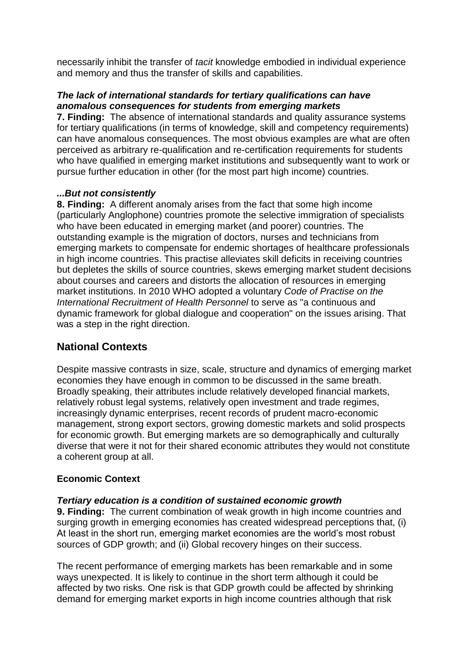necessarily inhibit the transfer of *tacit* knowledge embodied in individual experience and memory and thus the transfer of skills and capabilities.

#### *The lack of international standards for tertiary qualifications can have anomalous consequences for students from emerging markets*

**7. Finding:** The absence of international standards and quality assurance systems for tertiary qualifications (in terms of knowledge, skill and competency requirements) can have anomalous consequences. The most obvious examples are what are often perceived as arbitrary re-qualification and re-certification requirements for students who have qualified in emerging market institutions and subsequently want to work or pursue further education in other (for the most part high income) countries.

#### *...But not consistently*

**8. Finding:** A different anomaly arises from the fact that some high income (particularly Anglophone) countries promote the selective immigration of specialists who have been educated in emerging market (and poorer) countries. The outstanding example is the migration of doctors, nurses and technicians from emerging markets to compensate for endemic shortages of healthcare professionals in high income countries. This practise alleviates skill deficits in receiving countries but depletes the skills of source countries, skews emerging market student decisions about courses and careers and distorts the allocation of resources in emerging market institutions. In 2010 WHO adopted a voluntary *Code of Practise on the International Recruitment of Health Personnel* to serve as "a continuous and dynamic framework for global dialogue and cooperation" on the issues arising. That was a step in the right direction.

### **National Contexts**

Despite massive contrasts in size, scale, structure and dynamics of emerging market economies they have enough in common to be discussed in the same breath. Broadly speaking, their attributes include relatively developed financial markets, relatively robust legal systems, relatively open investment and trade regimes, increasingly dynamic enterprises, recent records of prudent macro-economic management, strong export sectors, growing domestic markets and solid prospects for economic growth. But emerging markets are so demographically and culturally diverse that were it not for their shared economic attributes they would not constitute a coherent group at all.

### **Economic Context**

#### *Tertiary education is a condition of sustained economic growth*

**9. Finding:** The current combination of weak growth in high income countries and surging growth in emerging economies has created widespread perceptions that, (i) At least in the short run, emerging market economies are the world's most robust sources of GDP growth; and (ii) Global recovery hinges on their success.

The recent performance of emerging markets has been remarkable and in some ways unexpected. It is likely to continue in the short term although it could be affected by two risks. One risk is that GDP growth could be affected by shrinking demand for emerging market exports in high income countries although that risk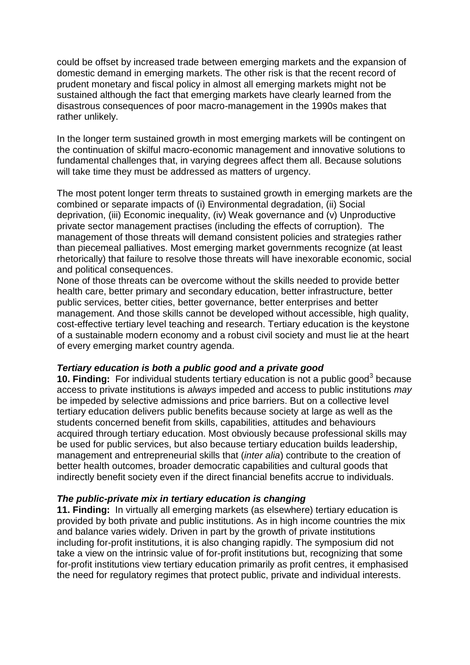could be offset by increased trade between emerging markets and the expansion of domestic demand in emerging markets. The other risk is that the recent record of prudent monetary and fiscal policy in almost all emerging markets might not be sustained although the fact that emerging markets have clearly learned from the disastrous consequences of poor macro-management in the 1990s makes that rather unlikely.

In the longer term sustained growth in most emerging markets will be contingent on the continuation of skilful macro-economic management and innovative solutions to fundamental challenges that, in varying degrees affect them all. Because solutions will take time they must be addressed as matters of urgency.

The most potent longer term threats to sustained growth in emerging markets are the combined or separate impacts of (i) Environmental degradation, (ii) Social deprivation, (iii) Economic inequality, (iv) Weak governance and (v) Unproductive private sector management practises (including the effects of corruption). The management of those threats will demand consistent policies and strategies rather than piecemeal palliatives. Most emerging market governments recognize (at least rhetorically) that failure to resolve those threats will have inexorable economic, social and political consequences.

None of those threats can be overcome without the skills needed to provide better health care, better primary and secondary education, better infrastructure, better public services, better cities, better governance, better enterprises and better management. And those skills cannot be developed without accessible, high quality, cost-effective tertiary level teaching and research. Tertiary education is the keystone of a sustainable modern economy and a robust civil society and must lie at the heart of every emerging market country agenda.

#### *Tertiary education is both a public good and a private good*

**10. Finding:** For individual students tertiary education is not a public good<sup>3</sup> because access to private institutions is *always* impeded and access to public institutions *may* be impeded by selective admissions and price barriers. But on a collective level tertiary education delivers public benefits because society at large as well as the students concerned benefit from skills, capabilities, attitudes and behaviours acquired through tertiary education. Most obviously because professional skills may be used for public services, but also because tertiary education builds leadership, management and entrepreneurial skills that (*inter alia*) contribute to the creation of better health outcomes, broader democratic capabilities and cultural goods that indirectly benefit society even if the direct financial benefits accrue to individuals.

#### *The public-private mix in tertiary education is changing*

**11. Finding:** In virtually all emerging markets (as elsewhere) tertiary education is provided by both private and public institutions. As in high income countries the mix and balance varies widely. Driven in part by the growth of private institutions including for-profit institutions, it is also changing rapidly. The symposium did not take a view on the intrinsic value of for-profit institutions but, recognizing that some for-profit institutions view tertiary education primarily as profit centres, it emphasised the need for regulatory regimes that protect public, private and individual interests.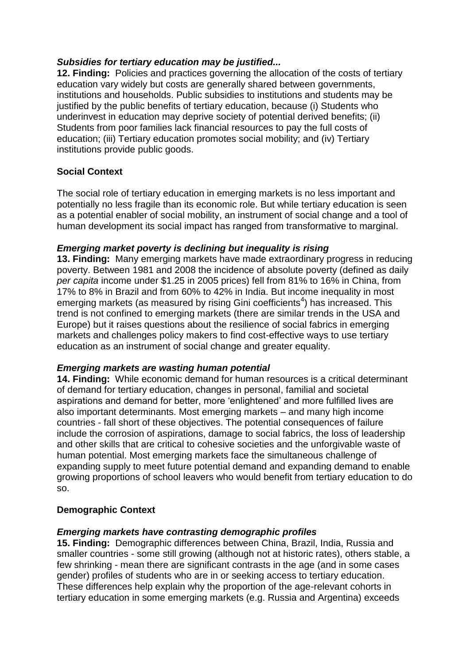#### *Subsidies for tertiary education may be justified...*

**12. Finding:** Policies and practices governing the allocation of the costs of tertiary education vary widely but costs are generally shared between governments, institutions and households. Public subsidies to institutions and students may be justified by the public benefits of tertiary education, because (i) Students who underinvest in education may deprive society of potential derived benefits; (ii) Students from poor families lack financial resources to pay the full costs of education; (iii) Tertiary education promotes social mobility; and (iv) Tertiary institutions provide public goods.

#### **Social Context**

The social role of tertiary education in emerging markets is no less important and potentially no less fragile than its economic role. But while tertiary education is seen as a potential enabler of social mobility, an instrument of social change and a tool of human development its social impact has ranged from transformative to marginal.

#### *Emerging market poverty is declining but inequality is rising*

**13. Finding:** Many emerging markets have made extraordinary progress in reducing poverty. Between 1981 and 2008 the incidence of absolute poverty (defined as daily *per capita* income under \$1.25 in 2005 prices) fell from 81% to 16% in China, from 17% to 8% in Brazil and from 60% to 42% in India. But income inequality in most emerging markets (as measured by rising Gini coefficients<sup>4</sup>) has increased. This trend is not confined to emerging markets (there are similar trends in the USA and Europe) but it raises questions about the resilience of social fabrics in emerging markets and challenges policy makers to find cost-effective ways to use tertiary education as an instrument of social change and greater equality.

#### *Emerging markets are wasting human potential*

**14. Finding:** While economic demand for human resources is a critical determinant of demand for tertiary education, changes in personal, familial and societal aspirations and demand for better, more 'enlightened' and more fulfilled lives are also important determinants. Most emerging markets – and many high income countries - fall short of these objectives. The potential consequences of failure include the corrosion of aspirations, damage to social fabrics, the loss of leadership and other skills that are critical to cohesive societies and the unforgivable waste of human potential. Most emerging markets face the simultaneous challenge of expanding supply to meet future potential demand and expanding demand to enable growing proportions of school leavers who would benefit from tertiary education to do so.

#### **Demographic Context**

#### *Emerging markets have contrasting demographic profiles*

**15. Finding:** Demographic differences between China, Brazil, India, Russia and smaller countries - some still growing (although not at historic rates), others stable, a few shrinking - mean there are significant contrasts in the age (and in some cases gender) profiles of students who are in or seeking access to tertiary education. These differences help explain why the proportion of the age-relevant cohorts in tertiary education in some emerging markets (e.g. Russia and Argentina) exceeds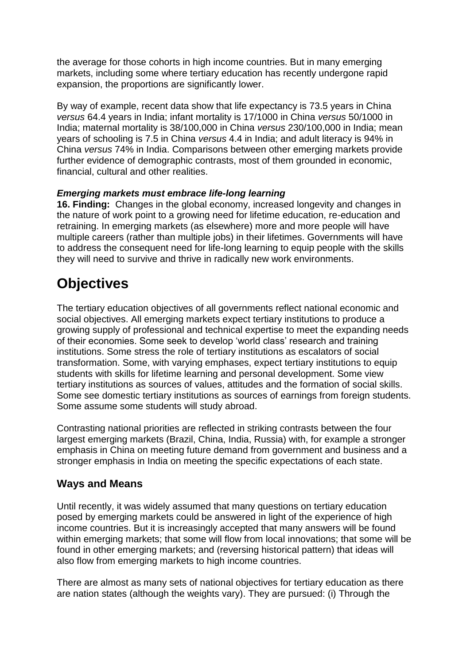the average for those cohorts in high income countries. But in many emerging markets, including some where tertiary education has recently undergone rapid expansion, the proportions are significantly lower.

By way of example, recent data show that life expectancy is 73.5 years in China *versus* 64.4 years in India; infant mortality is 17/1000 in China *versus* 50/1000 in India; maternal mortality is 38/100,000 in China *versus* 230/100,000 in India; mean years of schooling is 7.5 in China *versus* 4.4 in India; and adult literacy is 94% in China *versus* 74% in India. Comparisons between other emerging markets provide further evidence of demographic contrasts, most of them grounded in economic, financial, cultural and other realities.

#### *Emerging markets must embrace life-long learning*

**16. Finding:** Changes in the global economy, increased longevity and changes in the nature of work point to a growing need for lifetime education, re-education and retraining. In emerging markets (as elsewhere) more and more people will have multiple careers (rather than multiple jobs) in their lifetimes. Governments will have to address the consequent need for life-long learning to equip people with the skills they will need to survive and thrive in radically new work environments.

### **Objectives**

The tertiary education objectives of all governments reflect national economic and social objectives. All emerging markets expect tertiary institutions to produce a growing supply of professional and technical expertise to meet the expanding needs of their economies. Some seek to develop 'world class' research and training institutions. Some stress the role of tertiary institutions as escalators of social transformation. Some, with varying emphases, expect tertiary institutions to equip students with skills for lifetime learning and personal development. Some view tertiary institutions as sources of values, attitudes and the formation of social skills. Some see domestic tertiary institutions as sources of earnings from foreign students. Some assume some students will study abroad.

Contrasting national priorities are reflected in striking contrasts between the four largest emerging markets (Brazil, China, India, Russia) with, for example a stronger emphasis in China on meeting future demand from government and business and a stronger emphasis in India on meeting the specific expectations of each state.

### **Ways and Means**

Until recently, it was widely assumed that many questions on tertiary education posed by emerging markets could be answered in light of the experience of high income countries. But it is increasingly accepted that many answers will be found within emerging markets; that some will flow from local innovations; that some will be found in other emerging markets; and (reversing historical pattern) that ideas will also flow from emerging markets to high income countries.

There are almost as many sets of national objectives for tertiary education as there are nation states (although the weights vary). They are pursued: (i) Through the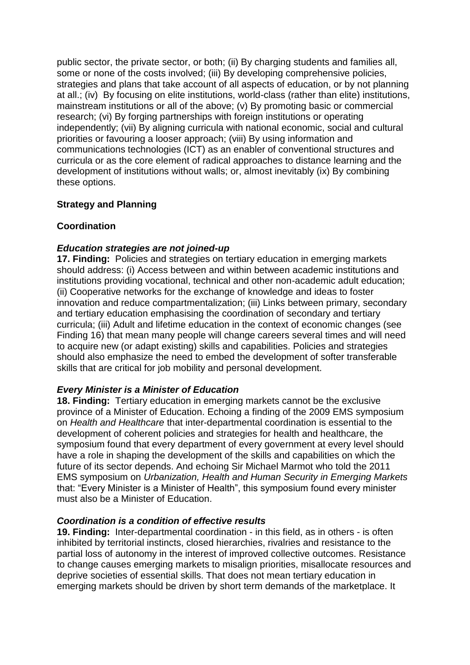public sector, the private sector, or both; (ii) By charging students and families all, some or none of the costs involved; (iii) By developing comprehensive policies, strategies and plans that take account of all aspects of education, or by not planning at all.; (iv) By focusing on elite institutions, world-class (rather than elite) institutions, mainstream institutions or all of the above; (v) By promoting basic or commercial research; (vi) By forging partnerships with foreign institutions or operating independently; (vii) By aligning curricula with national economic, social and cultural priorities or favouring a looser approach; (viii) By using information and communications technologies (ICT) as an enabler of conventional structures and curricula or as the core element of radical approaches to distance learning and the development of institutions without walls; or, almost inevitably (ix) By combining these options.

#### **Strategy and Planning**

#### **Coordination**

#### *Education strategies are not joined-up*

**17. Finding:** Policies and strategies on tertiary education in emerging markets should address: (i) Access between and within between academic institutions and institutions providing vocational, technical and other non-academic adult education; (ii) Cooperative networks for the exchange of knowledge and ideas to foster innovation and reduce compartmentalization; (iii) Links between primary, secondary and tertiary education emphasising the coordination of secondary and tertiary curricula; (iii) Adult and lifetime education in the context of economic changes (see Finding 16) that mean many people will change careers several times and will need to acquire new (or adapt existing) skills and capabilities. Policies and strategies should also emphasize the need to embed the development of softer transferable skills that are critical for job mobility and personal development.

#### *Every Minister is a Minister of Education*

**18. Finding:** Tertiary education in emerging markets cannot be the exclusive province of a Minister of Education. Echoing a finding of the 2009 EMS symposium on *Health and Healthcare* that inter-departmental coordination is essential to the development of coherent policies and strategies for health and healthcare, the symposium found that every department of every government at every level should have a role in shaping the development of the skills and capabilities on which the future of its sector depends. And echoing Sir Michael Marmot who told the 2011 EMS symposium on *Urbanization, Health and Human Security in Emerging Markets* that: "Every Minister is a Minister of Health", this symposium found every minister must also be a Minister of Education.

#### *Coordination is a condition of effective results*

**19. Finding:** Inter-departmental coordination - in this field, as in others - is often inhibited by territorial instincts, closed hierarchies, rivalries and resistance to the partial loss of autonomy in the interest of improved collective outcomes. Resistance to change causes emerging markets to misalign priorities, misallocate resources and deprive societies of essential skills. That does not mean tertiary education in emerging markets should be driven by short term demands of the marketplace. It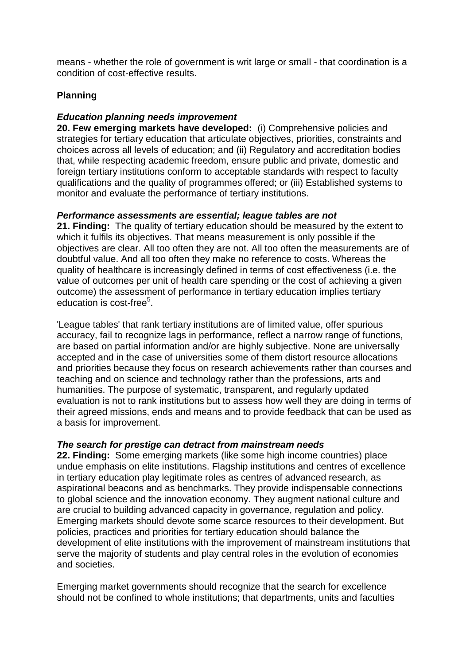means - whether the role of government is writ large or small - that coordination is a condition of cost-effective results.

#### **Planning**

#### *Education planning needs improvement*

**20. Few emerging markets have developed:** (i) Comprehensive policies and strategies for tertiary education that articulate objectives, priorities, constraints and choices across all levels of education; and (ii) Regulatory and accreditation bodies that, while respecting academic freedom, ensure public and private, domestic and foreign tertiary institutions conform to acceptable standards with respect to faculty qualifications and the quality of programmes offered; or (iii) Established systems to monitor and evaluate the performance of tertiary institutions.

#### *Performance assessments are essential; league tables are not*

**21. Finding:** The quality of tertiary education should be measured by the extent to which it fulfils its objectives. That means measurement is only possible if the objectives are clear. All too often they are not. All too often the measurements are of doubtful value. And all too often they make no reference to costs. Whereas the quality of healthcare is increasingly defined in terms of cost effectiveness (i.e. the value of outcomes per unit of health care spending or the cost of achieving a given outcome) the assessment of performance in tertiary education implies tertiary education is cost-free<sup>5</sup>.

'League tables' that rank tertiary institutions are of limited value, offer spurious accuracy, fail to recognize lags in performance, reflect a narrow range of functions, are based on partial information and/or are highly subjective. None are universally accepted and in the case of universities some of them distort resource allocations and priorities because they focus on research achievements rather than courses and teaching and on science and technology rather than the professions, arts and humanities. The purpose of systematic, transparent, and regularly updated evaluation is not to rank institutions but to assess how well they are doing in terms of their agreed missions, ends and means and to provide feedback that can be used as a basis for improvement.

#### *The search for prestige can detract from mainstream needs*

**22. Finding:** Some emerging markets (like some high income countries) place undue emphasis on elite institutions. Flagship institutions and centres of excellence in tertiary education play legitimate roles as centres of advanced research, as aspirational beacons and as benchmarks. They provide indispensable connections to global science and the innovation economy. They augment national culture and are crucial to building advanced capacity in governance, regulation and policy. Emerging markets should devote some scarce resources to their development. But policies, practices and priorities for tertiary education should balance the development of elite institutions with the improvement of mainstream institutions that serve the majority of students and play central roles in the evolution of economies and societies.

Emerging market governments should recognize that the search for excellence should not be confined to whole institutions; that departments, units and faculties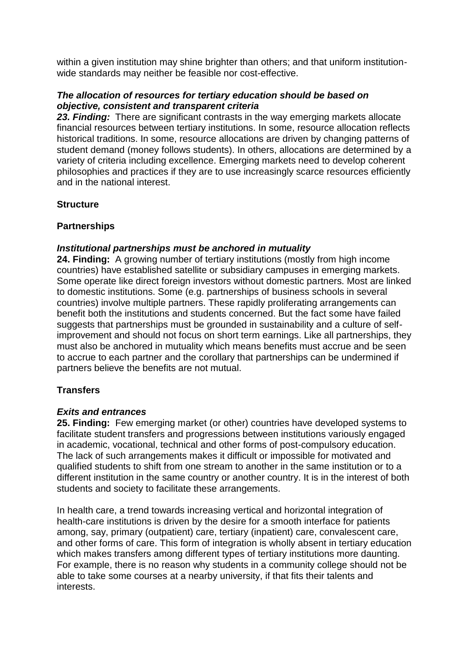within a given institution may shine brighter than others; and that uniform institutionwide standards may neither be feasible nor cost-effective.

#### *The allocation of resources for tertiary education should be based on objective, consistent and transparent criteria*

*23. Finding:* There are significant contrasts in the way emerging markets allocate financial resources between tertiary institutions. In some, resource allocation reflects historical traditions. In some, resource allocations are driven by changing patterns of student demand (money follows students). In others, allocations are determined by a variety of criteria including excellence. Emerging markets need to develop coherent philosophies and practices if they are to use increasingly scarce resources efficiently and in the national interest.

#### **Structure**

#### **Partnerships**

#### *Institutional partnerships must be anchored in mutuality*

**24. Finding:** A growing number of tertiary institutions (mostly from high income countries) have established satellite or subsidiary campuses in emerging markets. Some operate like direct foreign investors without domestic partners. Most are linked to domestic institutions. Some (e.g. partnerships of business schools in several countries) involve multiple partners. These rapidly proliferating arrangements can benefit both the institutions and students concerned. But the fact some have failed suggests that partnerships must be grounded in sustainability and a culture of selfimprovement and should not focus on short term earnings. Like all partnerships, they must also be anchored in mutuality which means benefits must accrue and be seen to accrue to each partner and the corollary that partnerships can be undermined if partners believe the benefits are not mutual.

#### **Transfers**

#### *Exits and entrances*

**25. Finding:** Few emerging market (or other) countries have developed systems to facilitate student transfers and progressions between institutions variously engaged in academic, vocational, technical and other forms of post-compulsory education. The lack of such arrangements makes it difficult or impossible for motivated and qualified students to shift from one stream to another in the same institution or to a different institution in the same country or another country. It is in the interest of both students and society to facilitate these arrangements.

In health care, a trend towards increasing vertical and horizontal integration of health-care institutions is driven by the desire for a smooth interface for patients among, say, primary (outpatient) care, tertiary (inpatient) care, convalescent care, and other forms of care. This form of integration is wholly absent in tertiary education which makes transfers among different types of tertiary institutions more daunting. For example, there is no reason why students in a community college should not be able to take some courses at a nearby university, if that fits their talents and interests.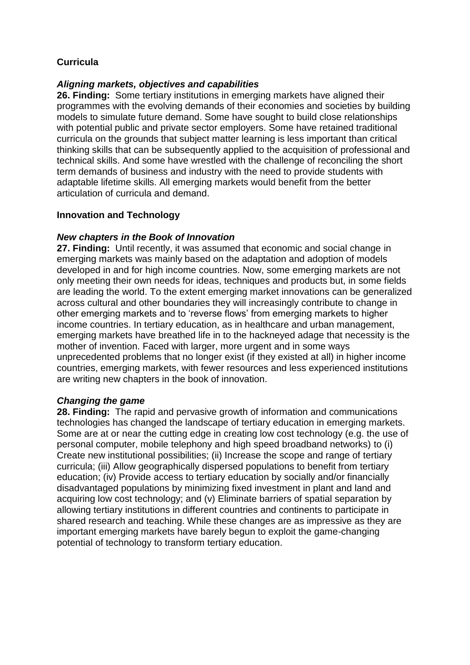#### **Curricula**

#### *Aligning markets, objectives and capabilities*

**26. Finding:** Some tertiary institutions in emerging markets have aligned their programmes with the evolving demands of their economies and societies by building models to simulate future demand. Some have sought to build close relationships with potential public and private sector employers. Some have retained traditional curricula on the grounds that subject matter learning is less important than critical thinking skills that can be subsequently applied to the acquisition of professional and technical skills. And some have wrestled with the challenge of reconciling the short term demands of business and industry with the need to provide students with adaptable lifetime skills. All emerging markets would benefit from the better articulation of curricula and demand.

#### **Innovation and Technology**

#### *New chapters in the Book of Innovation*

**27. Finding:** Until recently, it was assumed that economic and social change in emerging markets was mainly based on the adaptation and adoption of models developed in and for high income countries. Now, some emerging markets are not only meeting their own needs for ideas, techniques and products but, in some fields are leading the world. To the extent emerging market innovations can be generalized across cultural and other boundaries they will increasingly contribute to change in other emerging markets and to 'reverse flows' from emerging markets to higher income countries. In tertiary education, as in healthcare and urban management, emerging markets have breathed life in to the hackneyed adage that necessity is the mother of invention. Faced with larger, more urgent and in some ways unprecedented problems that no longer exist (if they existed at all) in higher income countries, emerging markets, with fewer resources and less experienced institutions are writing new chapters in the book of innovation.

#### *Changing the game*

**28. Finding:** The rapid and pervasive growth of information and communications technologies has changed the landscape of tertiary education in emerging markets. Some are at or near the cutting edge in creating low cost technology (e.g. the use of personal computer, mobile telephony and high speed broadband networks) to (i) Create new institutional possibilities; (ii) Increase the scope and range of tertiary curricula; (iii) Allow geographically dispersed populations to benefit from tertiary education; (iv) Provide access to tertiary education by socially and/or financially disadvantaged populations by minimizing fixed investment in plant and land and acquiring low cost technology; and (v) Eliminate barriers of spatial separation by allowing tertiary institutions in different countries and continents to participate in shared research and teaching. While these changes are as impressive as they are important emerging markets have barely begun to exploit the game-changing potential of technology to transform tertiary education.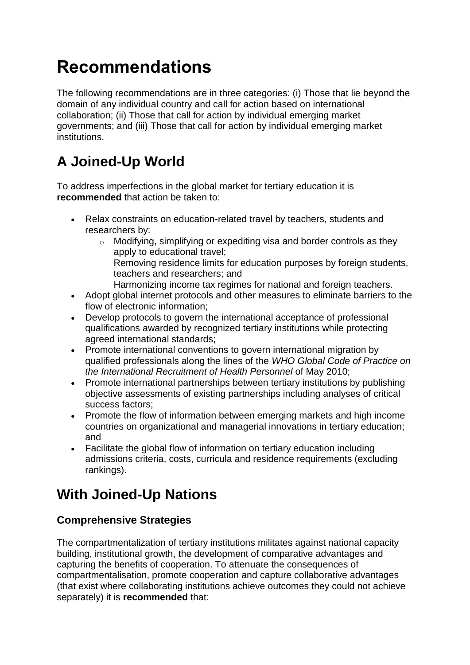# **Recommendations**

The following recommendations are in three categories: (i) Those that lie beyond the domain of any individual country and call for action based on international collaboration; (ii) Those that call for action by individual emerging market governments; and (iii) Those that call for action by individual emerging market institutions.

# **A Joined-Up World**

To address imperfections in the global market for tertiary education it is **recommended** that action be taken to:

- Relax constraints on education-related travel by teachers, students and researchers by:
	- $\circ$  Modifying, simplifying or expediting visa and border controls as they apply to educational travel; Removing residence limits for education purposes by foreign students, teachers and researchers; and Harmonizing income tax regimes for national and foreign teachers.
- Adopt global internet protocols and other measures to eliminate barriers to the flow of electronic information;
- Develop protocols to govern the international acceptance of professional qualifications awarded by recognized tertiary institutions while protecting agreed international standards;
- Promote international conventions to govern international migration by qualified professionals along the lines of the *WHO Global Code of Practice on the International Recruitment of Health Personnel* of May 2010;
- Promote international partnerships between tertiary institutions by publishing objective assessments of existing partnerships including analyses of critical success factors;
- Promote the flow of information between emerging markets and high income countries on organizational and managerial innovations in tertiary education; and
- Facilitate the global flow of information on tertiary education including admissions criteria, costs, curricula and residence requirements (excluding rankings).

### **With Joined-Up Nations**

### **Comprehensive Strategies**

The compartmentalization of tertiary institutions militates against national capacity building, institutional growth, the development of comparative advantages and capturing the benefits of cooperation. To attenuate the consequences of compartmentalisation, promote cooperation and capture collaborative advantages (that exist where collaborating institutions achieve outcomes they could not achieve separately) it is **recommended** that: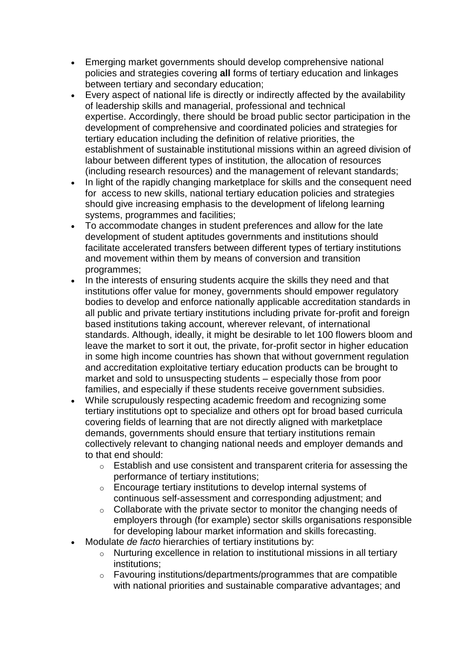- Emerging market governments should develop comprehensive national policies and strategies covering **all** forms of tertiary education and linkages between tertiary and secondary education;
- Every aspect of national life is directly or indirectly affected by the availability of leadership skills and managerial, professional and technical expertise. Accordingly, there should be broad public sector participation in the development of comprehensive and coordinated policies and strategies for tertiary education including the definition of relative priorities, the establishment of sustainable institutional missions within an agreed division of labour between different types of institution, the allocation of resources (including research resources) and the management of relevant standards;
- In light of the rapidly changing marketplace for skills and the consequent need for access to new skills, national tertiary education policies and strategies should give increasing emphasis to the development of lifelong learning systems, programmes and facilities;
- To accommodate changes in student preferences and allow for the late development of student aptitudes governments and institutions should facilitate accelerated transfers between different types of tertiary institutions and movement within them by means of conversion and transition programmes;
- In the interests of ensuring students acquire the skills they need and that institutions offer value for money, governments should empower regulatory bodies to develop and enforce nationally applicable accreditation standards in all public and private tertiary institutions including private for-profit and foreign based institutions taking account, wherever relevant, of international standards. Although, ideally, it might be desirable to let 100 flowers bloom and leave the market to sort it out, the private, for-profit sector in higher education in some high income countries has shown that without government regulation and accreditation exploitative tertiary education products can be brought to market and sold to unsuspecting students – especially those from poor families, and especially if these students receive government subsidies.
- While scrupulously respecting academic freedom and recognizing some tertiary institutions opt to specialize and others opt for broad based curricula covering fields of learning that are not directly aligned with marketplace demands, governments should ensure that tertiary institutions remain collectively relevant to changing national needs and employer demands and to that end should:
	- o Establish and use consistent and transparent criteria for assessing the performance of tertiary institutions;
	- o Encourage tertiary institutions to develop internal systems of continuous self-assessment and corresponding adjustment; and
	- o Collaborate with the private sector to monitor the changing needs of employers through (for example) sector skills organisations responsible for developing labour market information and skills forecasting.
- Modulate *de facto* hierarchies of tertiary institutions by:
	- o Nurturing excellence in relation to institutional missions in all tertiary institutions;
	- o Favouring institutions/departments/programmes that are compatible with national priorities and sustainable comparative advantages; and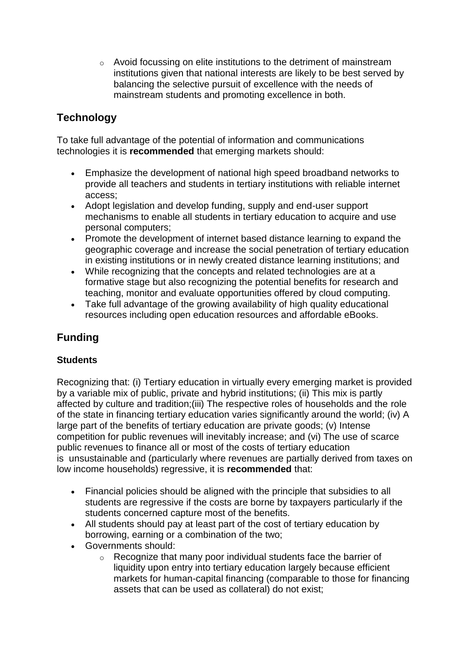$\circ$  Avoid focussing on elite institutions to the detriment of mainstream institutions given that national interests are likely to be best served by balancing the selective pursuit of excellence with the needs of mainstream students and promoting excellence in both.

### **Technology**

To take full advantage of the potential of information and communications technologies it is **recommended** that emerging markets should:

- Emphasize the development of national high speed broadband networks to provide all teachers and students in tertiary institutions with reliable internet access;
- Adopt legislation and develop funding, supply and end-user support mechanisms to enable all students in tertiary education to acquire and use personal computers;
- Promote the development of internet based distance learning to expand the geographic coverage and increase the social penetration of tertiary education in existing institutions or in newly created distance learning institutions; and
- While recognizing that the concepts and related technologies are at a formative stage but also recognizing the potential benefits for research and teaching, monitor and evaluate opportunities offered by cloud computing.
- Take full advantage of the growing availability of high quality educational resources including open education resources and affordable eBooks.

### **Funding**

#### **Students**

Recognizing that: (i) Tertiary education in virtually every emerging market is provided by a variable mix of public, private and hybrid institutions; (ii) This mix is partly affected by culture and tradition;(iii) The respective roles of households and the role of the state in financing tertiary education varies significantly around the world; (iv) A large part of the benefits of tertiary education are private goods; (v) Intense competition for public revenues will inevitably increase; and (vi) The use of scarce public revenues to finance all or most of the costs of tertiary education is unsustainable and (particularly where revenues are partially derived from taxes on low income households) regressive, it is **recommended** that:

- Financial policies should be aligned with the principle that subsidies to all students are regressive if the costs are borne by taxpayers particularly if the students concerned capture most of the benefits.
- All students should pay at least part of the cost of tertiary education by borrowing, earning or a combination of the two;
- Governments should:
	- o Recognize that many poor individual students face the barrier of liquidity upon entry into tertiary education largely because efficient markets for human-capital financing (comparable to those for financing assets that can be used as collateral) do not exist;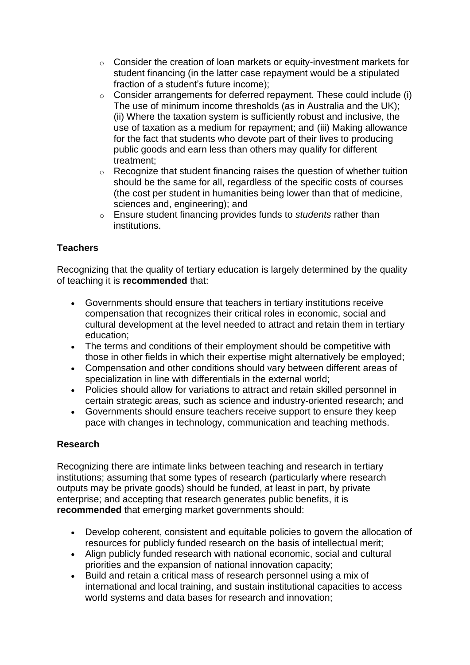- o Consider the creation of loan markets or equity-investment markets for student financing (in the latter case repayment would be a stipulated fraction of a student's future income);
- o Consider arrangements for deferred repayment. These could include (i) The use of minimum income thresholds (as in Australia and the UK); (ii) Where the taxation system is sufficiently robust and inclusive, the use of taxation as a medium for repayment; and (iii) Making allowance for the fact that students who devote part of their lives to producing public goods and earn less than others may qualify for different treatment;
- o Recognize that student financing raises the question of whether tuition should be the same for all, regardless of the specific costs of courses (the cost per student in humanities being lower than that of medicine, sciences and, engineering); and
- o Ensure student financing provides funds to *students* rather than institutions.

#### **Teachers**

Recognizing that the quality of tertiary education is largely determined by the quality of teaching it is **recommended** that:

- Governments should ensure that teachers in tertiary institutions receive compensation that recognizes their critical roles in economic, social and cultural development at the level needed to attract and retain them in tertiary education;
- The terms and conditions of their employment should be competitive with those in other fields in which their expertise might alternatively be employed;
- Compensation and other conditions should vary between different areas of specialization in line with differentials in the external world;
- Policies should allow for variations to attract and retain skilled personnel in certain strategic areas, such as science and industry-oriented research; and
- Governments should ensure teachers receive support to ensure they keep pace with changes in technology, communication and teaching methods.

#### **Research**

Recognizing there are intimate links between teaching and research in tertiary institutions; assuming that some types of research (particularly where research outputs may be private goods) should be funded, at least in part, by private enterprise; and accepting that research generates public benefits, it is **recommended** that emerging market governments should:

- Develop coherent, consistent and equitable policies to govern the allocation of resources for publicly funded research on the basis of intellectual merit;
- Align publicly funded research with national economic, social and cultural priorities and the expansion of national innovation capacity;
- Build and retain a critical mass of research personnel using a mix of international and local training, and sustain institutional capacities to access world systems and data bases for research and innovation;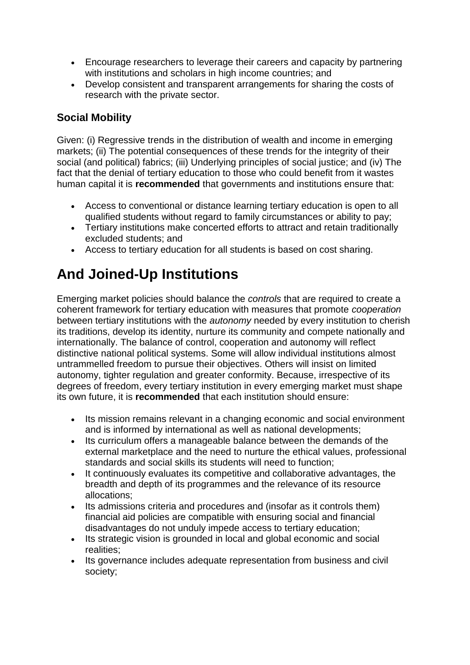- Encourage researchers to leverage their careers and capacity by partnering with institutions and scholars in high income countries; and
- Develop consistent and transparent arrangements for sharing the costs of research with the private sector.

### **Social Mobility**

Given: (i) Regressive trends in the distribution of wealth and income in emerging markets; (ii) The potential consequences of these trends for the integrity of their social (and political) fabrics; (iii) Underlying principles of social justice; and (iv) The fact that the denial of tertiary education to those who could benefit from it wastes human capital it is **recommended** that governments and institutions ensure that:

- Access to conventional or distance learning tertiary education is open to all qualified students without regard to family circumstances or ability to pay;
- Tertiary institutions make concerted efforts to attract and retain traditionally excluded students; and
- Access to tertiary education for all students is based on cost sharing.

# **And Joined-Up Institutions**

Emerging market policies should balance the *controls* that are required to create a coherent framework for tertiary education with measures that promote *cooperation* between tertiary institutions with the *autonomy* needed by every institution to cherish its traditions, develop its identity, nurture its community and compete nationally and internationally. The balance of control, cooperation and autonomy will reflect distinctive national political systems. Some will allow individual institutions almost untrammelled freedom to pursue their objectives. Others will insist on limited autonomy, tighter regulation and greater conformity. Because, irrespective of its degrees of freedom, every tertiary institution in every emerging market must shape its own future, it is **recommended** that each institution should ensure:

- Its mission remains relevant in a changing economic and social environment and is informed by international as well as national developments;
- Its curriculum offers a manageable balance between the demands of the external marketplace and the need to nurture the ethical values, professional standards and social skills its students will need to function;
- It continuously evaluates its competitive and collaborative advantages, the breadth and depth of its programmes and the relevance of its resource allocations;
- Its admissions criteria and procedures and (insofar as it controls them) financial aid policies are compatible with ensuring social and financial disadvantages do not unduly impede access to tertiary education;
- Its strategic vision is grounded in local and global economic and social realities;
- Its governance includes adequate representation from business and civil society;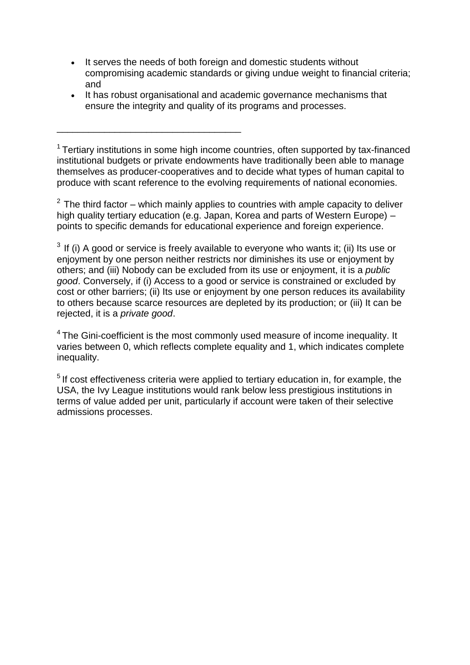- It serves the needs of both foreign and domestic students without compromising academic standards or giving undue weight to financial criteria; and
- It has robust organisational and academic governance mechanisms that ensure the integrity and quality of its programs and processes.

\_\_\_\_\_\_\_\_\_\_\_\_\_\_\_\_\_\_\_\_\_\_\_\_\_\_\_\_\_\_\_\_\_\_\_

<sup>1</sup> Tertiary institutions in some high income countries, often supported by tax-financed institutional budgets or private endowments have traditionally been able to manage themselves as producer-cooperatives and to decide what types of human capital to produce with scant reference to the evolving requirements of national economies.

 $2$  The third factor – which mainly applies to countries with ample capacity to deliver high quality tertiary education (e.g. Japan, Korea and parts of Western Europe) – points to specific demands for educational experience and foreign experience.

 $3$  If (i) A good or service is freely available to everyone who wants it; (ii) Its use or enjoyment by one person neither restricts nor diminishes its use or enjoyment by others; and (iii) Nobody can be excluded from its use or enjoyment, it is a *public good*. Conversely, if (i) Access to a good or service is constrained or excluded by cost or other barriers; (ii) Its use or enjoyment by one person reduces its availability to others because scarce resources are depleted by its production; or (iii) It can be rejected, it is a *private good*.

 $4$  The Gini-coefficient is the most commonly used measure of income inequality. It varies between 0, which reflects complete equality and 1, which indicates complete inequality.

 $<sup>5</sup>$  If cost effectiveness criteria were applied to tertiary education in, for example, the</sup> USA, the Ivy League institutions would rank below less prestigious institutions in terms of value added per unit, particularly if account were taken of their selective admissions processes.